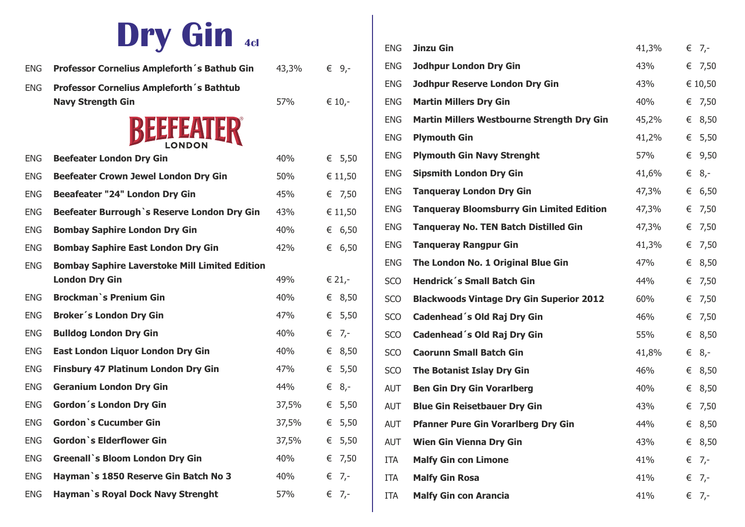# **Dry Gin 4cl**

| <b>ENG</b> | Professor Cornelius Ampleforth's Bathub Gin           | 43,3% | € 9,-          |
|------------|-------------------------------------------------------|-------|----------------|
| <b>ENG</b> | Professor Cornelius Ampleforth's Bathtub              |       |                |
|            | <b>Navy Strength Gin</b>                              | 57%   | € 10,-         |
|            | BEEFEATER                                             |       |                |
| <b>ENG</b> | <b>Beefeater London Dry Gin</b>                       | 40%   | € 5,50         |
| <b>ENG</b> | <b>Beefeater Crown Jewel London Dry Gin</b>           | 50%   | € 11,50        |
| ENG.       | <b>Beeafeater "24" London Dry Gin</b>                 | 45%   | € 7,50         |
| <b>ENG</b> | Beefeater Burrough's Reserve London Dry Gin           | 43%   | € 11,50        |
| <b>ENG</b> | <b>Bombay Saphire London Dry Gin</b>                  | 40%   | € 6,50         |
| <b>ENG</b> | <b>Bombay Saphire East London Dry Gin</b>             | 42%   | € 6,50         |
| <b>ENG</b> | <b>Bombay Saphire Laverstoke Mill Limited Edition</b> |       |                |
|            | <b>London Dry Gin</b>                                 | 49%   | € 21,-         |
| ENG.       | <b>Brockman</b> 's Prenium Gin                        | 40%   | € 8,50         |
| <b>ENG</b> | Broker's London Dry Gin                               | 47%   | € 5,50         |
| <b>ENG</b> | <b>Bulldog London Dry Gin</b>                         | 40%   | $\epsilon$ 7,- |
| ENG.       | East London Liquor London Dry Gin                     | 40%   | € 8,50         |
| ENG.       | <b>Finsbury 47 Platinum London Dry Gin</b>            | 47%   | € 5,50         |
| <b>ENG</b> | <b>Geranium London Dry Gin</b>                        | 44%   | € $8,-$        |
| ENG.       | Gordon's London Dry Gin                               | 37,5% | € 5,50         |
| ENG.       | <b>Gordon</b> 's Cucumber Gin                         | 37,5% | € 5,50         |
| <b>ENG</b> | <b>Gordon</b> 's Elderflower Gin                      | 37,5% | € 5,50         |
| <b>ENG</b> | <b>Greenall</b> 's Bloom London Dry Gin               | 40%   | € 7,50         |
| <b>ENG</b> | Hayman's 1850 Reserve Gin Batch No 3                  | 40%   | $\epsilon$ 7,- |
| <b>ENG</b> | Hayman's Royal Dock Navy Strenght                     | 57%   | € 7,-          |

| <b>ENG</b> | <b>Jinzu Gin</b>                                  | 41,3% |   | $\epsilon$ 7,- |
|------------|---------------------------------------------------|-------|---|----------------|
| <b>ENG</b> | <b>Jodhpur London Dry Gin</b>                     | 43%   |   | € 7,50         |
| <b>ENG</b> | <b>Jodhpur Reserve London Dry Gin</b>             | 43%   |   | € 10,50        |
| <b>ENG</b> | <b>Martin Millers Dry Gin</b>                     | 40%   | € | 7,50           |
| <b>ENG</b> | <b>Martin Millers Westbourne Strength Dry Gin</b> | 45,2% |   | € 8,50         |
| <b>ENG</b> | <b>Plymouth Gin</b>                               | 41,2% |   | € 5,50         |
| <b>ENG</b> | <b>Plymouth Gin Navy Strenght</b>                 | 57%   | € | 9,50           |
| <b>ENG</b> | <b>Sipsmith London Dry Gin</b>                    | 41,6% |   | € $8,-$        |
| <b>ENG</b> | <b>Tangueray London Dry Gin</b>                   | 47,3% | € | 6,50           |
| <b>ENG</b> | <b>Tanqueray Bloomsburry Gin Limited Edition</b>  | 47,3% |   | € 7,50         |
| <b>ENG</b> | <b>Tanqueray No. TEN Batch Distilled Gin</b>      | 47,3% |   | € 7,50         |
| <b>ENG</b> | <b>Tanqueray Rangpur Gin</b>                      | 41,3% |   | € 7,50         |
| <b>ENG</b> | The London No. 1 Original Blue Gin                | 47%   | € | 8,50           |
| SCO        | <b>Hendrick's Small Batch Gin</b>                 | 44%   | € | 7,50           |
| <b>SCO</b> | <b>Blackwoods Vintage Dry Gin Superior 2012</b>   | 60%   | € | 7,50           |
| SCO        | Cadenhead's Old Raj Dry Gin                       | 46%   | € | 7,50           |
| SCO        | Cadenhead's Old Raj Dry Gin                       | 55%   | € | 8,50           |
| SCO        | <b>Caorunn Small Batch Gin</b>                    | 41,8% |   | $\epsilon$ 8,- |
| SCO        | <b>The Botanist Islay Dry Gin</b>                 | 46%   | € | 8,50           |
| <b>AUT</b> | <b>Ben Gin Dry Gin Vorarlberg</b>                 | 40%   | € | 8,50           |
| <b>AUT</b> | <b>Blue Gin Reisetbauer Dry Gin</b>               | 43%   | € | 7,50           |
| <b>AUT</b> | <b>Pfanner Pure Gin Vorarlberg Dry Gin</b>        | 44%   | € | 8,50           |
| <b>AUT</b> | <b>Wien Gin Vienna Dry Gin</b>                    | 43%   |   | € 8,50         |
| ITA        | <b>Malfy Gin con Limone</b>                       | 41%   |   | $\epsilon$ 7,- |
| ITA        | <b>Malfy Gin Rosa</b>                             | 41%   |   | $\epsilon$ 7,- |
| ITA        | <b>Malfy Gin con Arancia</b>                      | 41%   |   | € 7,-          |